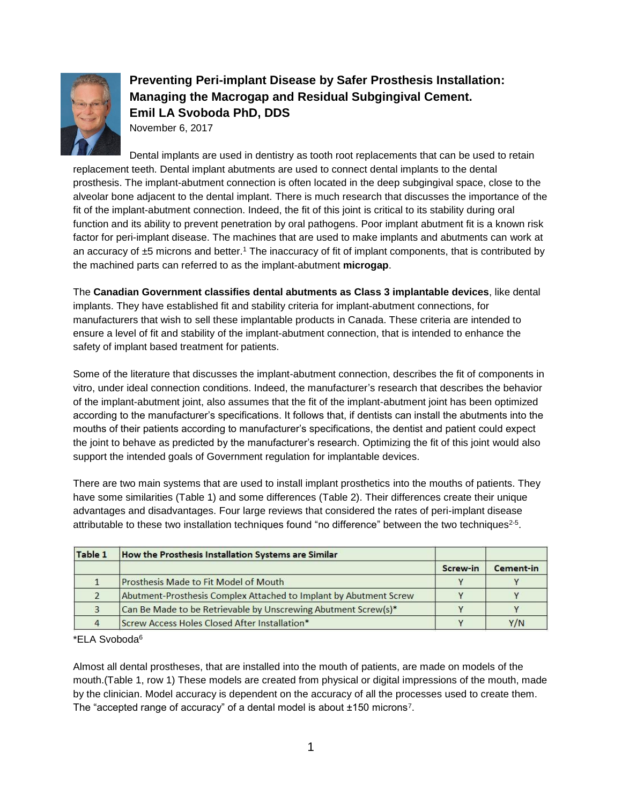

## **Preventing Peri-implant Disease by Safer Prosthesis Installation: Managing the Macrogap and Residual Subgingival Cement. Emil LA Svoboda PhD, DDS**

November 6, 2017

Dental implants are used in dentistry as tooth root replacements that can be used to retain replacement teeth. Dental implant abutments are used to connect dental implants to the dental prosthesis. The implant-abutment connection is often located in the deep subgingival space, close to the alveolar bone adjacent to the dental implant. There is much research that discusses the importance of the fit of the implant-abutment connection. Indeed, the fit of this joint is critical to its stability during oral function and its ability to prevent penetration by oral pathogens. Poor implant abutment fit is a known risk factor for peri-implant disease. The machines that are used to make implants and abutments can work at an accuracy of  $\pm 5$  microns and better.<sup>1</sup> The inaccuracy of fit of implant components, that is contributed by the machined parts can referred to as the implant-abutment **microgap**.

The **Canadian Government classifies dental abutments as Class 3 implantable devices**, like dental implants. They have established fit and stability criteria for implant-abutment connections, for manufacturers that wish to sell these implantable products in Canada. These criteria are intended to ensure a level of fit and stability of the implant-abutment connection, that is intended to enhance the safety of implant based treatment for patients.

Some of the literature that discusses the implant-abutment connection, describes the fit of components in vitro, under ideal connection conditions. Indeed, the manufacturer's research that describes the behavior of the implant-abutment joint, also assumes that the fit of the implant-abutment joint has been optimized according to the manufacturer's specifications. It follows that, if dentists can install the abutments into the mouths of their patients according to manufacturer's specifications, the dentist and patient could expect the joint to behave as predicted by the manufacturer's research. Optimizing the fit of this joint would also support the intended goals of Government regulation for implantable devices.

There are two main systems that are used to install implant prosthetics into the mouths of patients. They have some similarities (Table 1) and some differences (Table 2). Their differences create their unique advantages and disadvantages. Four large reviews that considered the rates of peri-implant disease attributable to these two installation techniques found "no difference" between the two techniques<sup>2-5</sup>.

| Table 1 | How the Prosthesis Installation Systems are Similar               |          |           |
|---------|-------------------------------------------------------------------|----------|-----------|
|         |                                                                   | Screw-in | Cement-in |
|         | <b>Prosthesis Made to Fit Model of Mouth</b>                      |          |           |
|         | Abutment-Prosthesis Complex Attached to Implant by Abutment Screw |          |           |
| 3       | Can Be Made to be Retrievable by Unscrewing Abutment Screw(s)*    |          |           |
|         | Screw Access Holes Closed After Installation*                     |          | Y/N       |

\*ELA Svoboda<sup>6</sup>

Almost all dental prostheses, that are installed into the mouth of patients, are made on models of the mouth.(Table 1, row 1) These models are created from physical or digital impressions of the mouth, made by the clinician. Model accuracy is dependent on the accuracy of all the processes used to create them. The "accepted range of accuracy" of a dental model is about  $\pm 150$  microns<sup>7</sup>.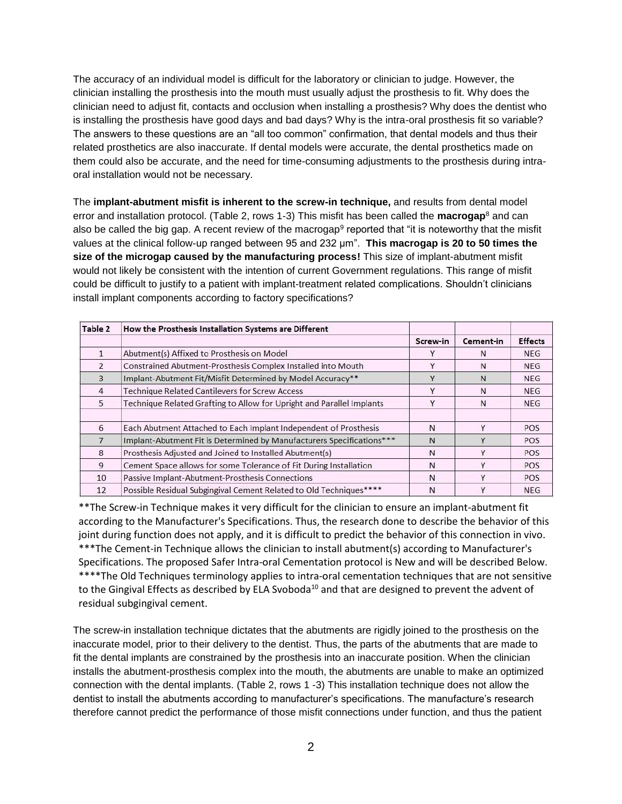The accuracy of an individual model is difficult for the laboratory or clinician to judge. However, the clinician installing the prosthesis into the mouth must usually adjust the prosthesis to fit. Why does the clinician need to adjust fit, contacts and occlusion when installing a prosthesis? Why does the dentist who is installing the prosthesis have good days and bad days? Why is the intra-oral prosthesis fit so variable? The answers to these questions are an "all too common" confirmation, that dental models and thus their related prosthetics are also inaccurate. If dental models were accurate, the dental prosthetics made on them could also be accurate, and the need for time-consuming adjustments to the prosthesis during intraoral installation would not be necessary.

The **implant-abutment misfit is inherent to the screw-in technique,** and results from dental model error and installation protocol. (Table 2, rows 1-3) This misfit has been called the **macrogap**<sup>8</sup> and can also be called the big gap. A recent review of the macrogap<sup>9</sup> reported that "it is noteworthy that the misfit values at the clinical follow-up ranged between 95 and 232 μm". **This macrogap is 20 to 50 times the size of the microgap caused by the manufacturing process!** This size of implant-abutment misfit would not likely be consistent with the intention of current Government regulations. This range of misfit could be difficult to justify to a patient with implant-treatment related complications. Shouldn't clinicians install implant components according to factory specifications?

| Table 2        | How the Prosthesis Installation Systems are Different                 |          |           |                |
|----------------|-----------------------------------------------------------------------|----------|-----------|----------------|
|                |                                                                       | Screw-in | Cement-in | <b>Effects</b> |
|                | Abutment(s) Affixed to Prosthesis on Model                            |          | N         | <b>NEG</b>     |
| $\overline{2}$ | Constrained Abutment-Prosthesis Complex Installed into Mouth          | V        | N         | <b>NEG</b>     |
| 3              | Implant-Abutment Fit/Misfit Determined by Model Accuracy**            | v        | N         | <b>NEG</b>     |
| 4              | <b>Technique Related Cantilevers for Screw Access</b>                 | Y        | N         | <b>NEG</b>     |
| 5              | Technique Related Grafting to Allow for Upright and Parallel Implants | V        | N         | <b>NEG</b>     |
| 6              | Each Abutment Attached to Each Implant Independent of Prosthesis      | N        | Y         | <b>POS</b>     |
| $\overline{7}$ | Implant-Abutment Fit is Determined by Manufacturers Specifications*** | N        | v         | <b>POS</b>     |
| 8              | Prosthesis Adjusted and Joined to Installed Abutment(s)               | N        | Υ         | <b>POS</b>     |
| 9              | Cement Space allows for some Tolerance of Fit During Installation     | N        | Y         | <b>POS</b>     |
| 10             | Passive Implant-Abutment-Prosthesis Connections                       | N        | Y         | <b>POS</b>     |
| 12             | Possible Residual Subgingival Cement Related to Old Techniques****    | N        | v         | <b>NEG</b>     |

\*\*The Screw-in Technique makes it very difficult for the clinician to ensure an implant-abutment fit according to the Manufacturer's Specifications. Thus, the research done to describe the behavior of this joint during function does not apply, and it is difficult to predict the behavior of this connection in vivo. \*\*\*The Cement-in Technique allows the clinician to install abutment(s) according to Manufacturer's Specifications. The proposed Safer Intra-oral Cementation protocol is New and will be described Below. \*\*\*\*The Old Techniques terminology applies to intra-oral cementation techniques that are not sensitive to the Gingival Effects as described by ELA Svoboda<sup>10</sup> and that are designed to prevent the advent of residual subgingival cement.

The screw-in installation technique dictates that the abutments are rigidly joined to the prosthesis on the inaccurate model, prior to their delivery to the dentist. Thus, the parts of the abutments that are made to fit the dental implants are constrained by the prosthesis into an inaccurate position. When the clinician installs the abutment-prosthesis complex into the mouth, the abutments are unable to make an optimized connection with the dental implants. (Table 2, rows 1 -3) This installation technique does not allow the dentist to install the abutments according to manufacturer's specifications. The manufacture's research therefore cannot predict the performance of those misfit connections under function, and thus the patient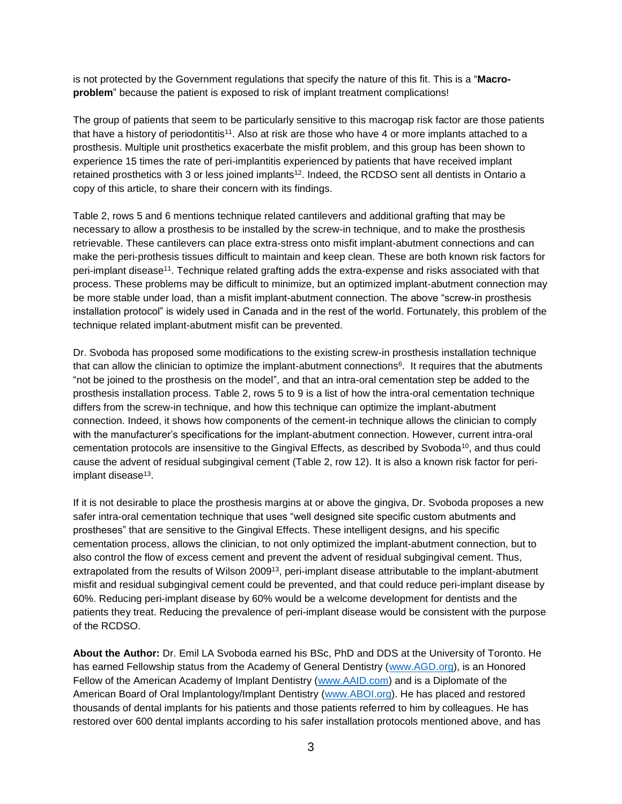is not protected by the Government regulations that specify the nature of this fit. This is a "**Macroproblem**" because the patient is exposed to risk of implant treatment complications!

The group of patients that seem to be particularly sensitive to this macrogap risk factor are those patients that have a history of periodontitis<sup>11</sup>. Also at risk are those who have 4 or more implants attached to a prosthesis. Multiple unit prosthetics exacerbate the misfit problem, and this group has been shown to experience 15 times the rate of peri-implantitis experienced by patients that have received implant retained prosthetics with 3 or less joined implants<sup>12</sup>. Indeed, the RCDSO sent all dentists in Ontario a copy of this article, to share their concern with its findings.

Table 2, rows 5 and 6 mentions technique related cantilevers and additional grafting that may be necessary to allow a prosthesis to be installed by the screw-in technique, and to make the prosthesis retrievable. These cantilevers can place extra-stress onto misfit implant-abutment connections and can make the peri-prothesis tissues difficult to maintain and keep clean. These are both known risk factors for peri-implant disease<sup>11</sup>. Technique related grafting adds the extra-expense and risks associated with that process. These problems may be difficult to minimize, but an optimized implant-abutment connection may be more stable under load, than a misfit implant-abutment connection. The above "screw-in prosthesis installation protocol" is widely used in Canada and in the rest of the world. Fortunately, this problem of the technique related implant-abutment misfit can be prevented.

Dr. Svoboda has proposed some modifications to the existing screw-in prosthesis installation technique that can allow the clinician to optimize the implant-abutment connections<sup>6</sup>. It requires that the abutments "not be joined to the prosthesis on the model", and that an intra-oral cementation step be added to the prosthesis installation process. Table 2, rows 5 to 9 is a list of how the intra-oral cementation technique differs from the screw-in technique, and how this technique can optimize the implant-abutment connection. Indeed, it shows how components of the cement-in technique allows the clinician to comply with the manufacturer's specifications for the implant-abutment connection. However, current intra-oral cementation protocols are insensitive to the Gingival Effects, as described by Svoboda<sup>10</sup>, and thus could cause the advent of residual subgingival cement (Table 2, row 12). It is also a known risk factor for periimplant disease<sup>13</sup>.

If it is not desirable to place the prosthesis margins at or above the gingiva, Dr. Svoboda proposes a new safer intra-oral cementation technique that uses "well designed site specific custom abutments and prostheses" that are sensitive to the Gingival Effects. These intelligent designs, and his specific cementation process, allows the clinician, to not only optimized the implant-abutment connection, but to also control the flow of excess cement and prevent the advent of residual subgingival cement. Thus, extrapolated from the results of Wilson 2009<sup>13</sup>, peri-implant disease attributable to the implant-abutment misfit and residual subgingival cement could be prevented, and that could reduce peri-implant disease by 60%. Reducing peri-implant disease by 60% would be a welcome development for dentists and the patients they treat. Reducing the prevalence of peri-implant disease would be consistent with the purpose of the RCDSO.

**About the Author:** Dr. Emil LA Svoboda earned his BSc, PhD and DDS at the University of Toronto. He has earned Fellowship status from the Academy of General Dentistry [\(www.AGD.org\)](http://www.agd.org/), is an Honored Fellow of the American Academy of Implant Dentistry [\(www.AAID.com\)](http://www.aaid.com/) and is a Diplomate of the American Board of Oral Implantology/Implant Dentistry [\(www.ABOI.org\)](http://www.aboi.org/). He has placed and restored thousands of dental implants for his patients and those patients referred to him by colleagues. He has restored over 600 dental implants according to his safer installation protocols mentioned above, and has